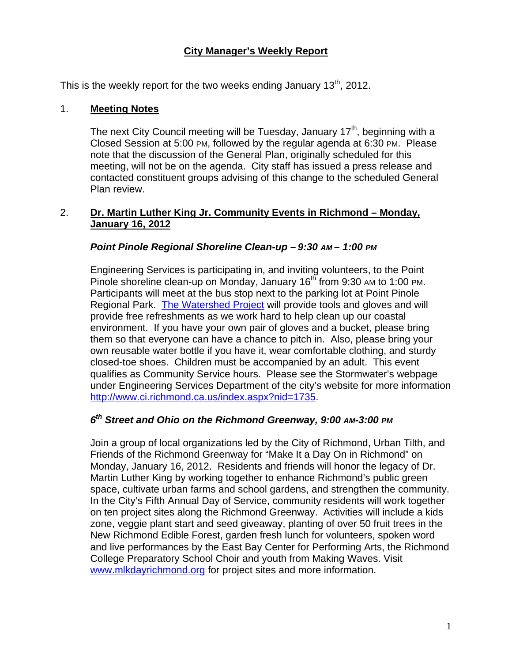## **City Manager's Weekly Report**

This is the weekly report for the two weeks ending January  $13<sup>th</sup>$ , 2012.

#### 1. **Meeting Notes**

The next City Council meeting will be Tuesday, January  $17<sup>th</sup>$ , beginning with a Closed Session at 5:00 PM, followed by the regular agenda at 6:30 PM. Please note that the discussion of the General Plan, originally scheduled for this meeting, will not be on the agenda. City staff has issued a press release and contacted constituent groups advising of this change to the scheduled General Plan review.

#### 2. **Dr. Martin Luther King Jr. Community Events in Richmond – Monday, January 16, 2012**

## *Point Pinole Regional Shoreline Clean-up – 9:30 AM – 1:00 PM*

Engineering Services is participating in, and inviting volunteers, to the Point Pinole shoreline clean-up on Monday, January  $16<sup>th</sup>$  from 9:30 AM to 1:00 PM. Participants will meet at the bus stop next to the parking lot at Point Pinole Regional Park. [The Watershed Project](http://www.ci.richmond.ca.us/www.thewatershedproject.org) will provide tools and gloves and will provide free refreshments as we work hard to help clean up our coastal environment. If you have your own pair of gloves and a bucket, please bring them so that everyone can have a chance to pitch in. Also, please bring your own reusable water bottle if you have it, wear comfortable clothing, and sturdy closed-toe shoes. Children must be accompanied by an adult. This event qualifies as Community Service hours. Please see the Stormwater's webpage under Engineering Services Department of the city's website for more information [http://www.ci.richmond.ca.us/index.aspx?nid=1735.](http://www.ci.richmond.ca.us/index.aspx?nid=1735)

# *6th Street and Ohio on the Richmond Greenway, 9:00 AM-3:00 PM*

Join a group of local organizations led by the City of Richmond, Urban Tilth, and Friends of the Richmond Greenway for "Make It a Day On in Richmond" on Monday, January 16, 2012. Residents and friends will honor the legacy of Dr. Martin Luther King by working together to enhance Richmond's public green space, cultivate urban farms and school gardens, and strengthen the community. In the City's Fifth Annual Day of Service, community residents will work together on ten project sites along the Richmond Greenway. Activities will include a kids zone, veggie plant start and seed giveaway, planting of over 50 fruit trees in the New Richmond Edible Forest, garden fresh lunch for volunteers, spoken word and live performances by the East Bay Center for Performing Arts, the Richmond College Preparatory School Choir and youth from Making Waves. Visit [www.mlkdayrichmond.org](http://www.mlkdayrichmond.org/) for project sites and more information.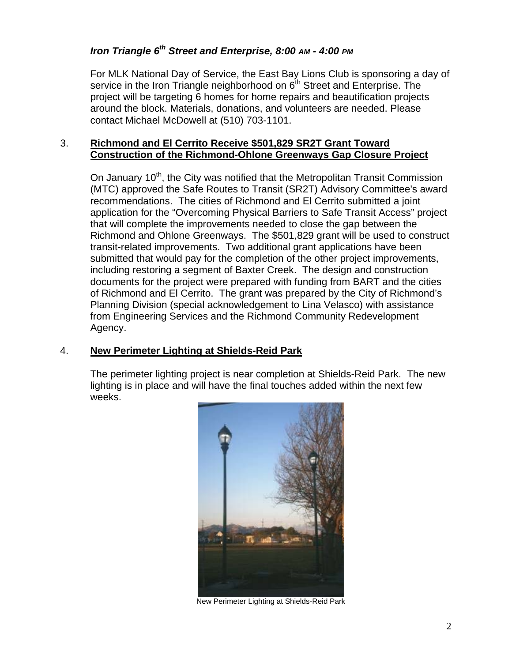# *Iron Triangle 6th Street and Enterprise, 8:00 AM - 4:00 PM*

For MLK National Day of Service, the East Bay Lions Club is sponsoring a day of service in the Iron Triangle neighborhood on  $6<sup>th</sup>$  Street and Enterprise. The project will be targeting 6 homes for home repairs and beautification projects around the block. Materials, donations, and volunteers are needed. Please contact Michael McDowell at (510) 703-1101.

#### 3. **Richmond and El Cerrito Receive \$501,829 SR2T Grant Toward Construction of the Richmond-Ohlone Greenways Gap Closure Project**

On January 10<sup>th</sup>, the City was notified that the Metropolitan Transit Commission (MTC) approved the Safe Routes to Transit (SR2T) Advisory Committee's award recommendations. The cities of Richmond and El Cerrito submitted a joint application for the "Overcoming Physical Barriers to Safe Transit Access" project that will complete the improvements needed to close the gap between the Richmond and Ohlone Greenways. The \$501,829 grant will be used to construct transit-related improvements. Two additional grant applications have been submitted that would pay for the completion of the other project improvements, including restoring a segment of Baxter Creek. The design and construction documents for the project were prepared with funding from BART and the cities of Richmond and El Cerrito. The grant was prepared by the City of Richmond's Planning Division (special acknowledgement to Lina Velasco) with assistance from Engineering Services and the Richmond Community Redevelopment Agency.

## 4. **New Perimeter Lighting at Shields-Reid Park**

The perimeter lighting project is near completion at Shields-Reid Park. The new lighting is in place and will have the final touches added within the next few weeks.



New Perimeter Lighting at Shields-Reid Park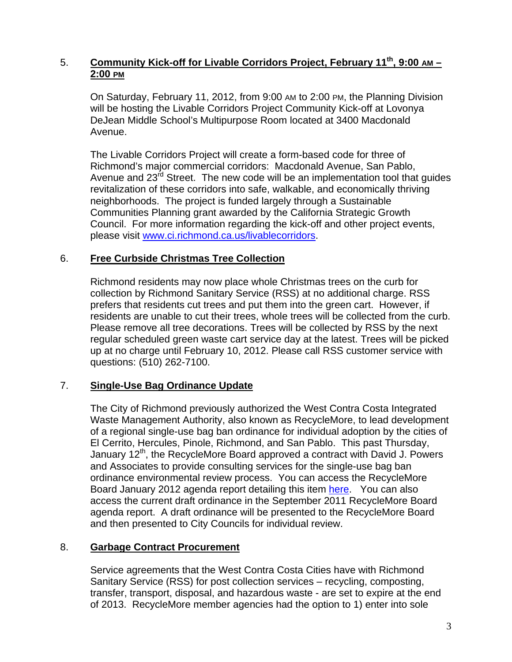# 5. **Community Kick-off for Livable Corridors Project, February 11th, 9:00 AM – 2:00 PM**

On Saturday, February 11, 2012, from 9:00 AM to 2:00 PM, the Planning Division will be hosting the Livable Corridors Project Community Kick-off at Lovonya DeJean Middle School's Multipurpose Room located at 3400 Macdonald Avenue.

The Livable Corridors Project will create a form-based code for three of Richmond's major commercial corridors: Macdonald Avenue, San Pablo, Avenue and 23<sup>rd</sup> Street. The new code will be an implementation tool that quides revitalization of these corridors into safe, walkable, and economically thriving neighborhoods. The project is funded largely through a Sustainable Communities Planning grant awarded by the California Strategic Growth Council. For more information regarding the kick-off and other project events, please visit [www.ci.richmond.ca.us/livablecorridors](http://www.ci.richmond.ca.us/livablecorridors).

## 6. **Free Curbside Christmas Tree Collection**

Richmond residents may now place whole Christmas trees on the curb for collection by Richmond Sanitary Service (RSS) at no additional charge. RSS prefers that residents cut trees and put them into the green cart. However, if residents are unable to cut their trees, whole trees will be collected from the curb. Please remove all tree decorations. Trees will be collected by RSS by the next regular scheduled green waste cart service day at the latest. Trees will be picked up at no charge until February 10, 2012. Please call RSS customer service with questions: (510) 262-7100.

#### 7. **Single-Use Bag Ordinance Update**

The City of Richmond previously authorized the West Contra Costa Integrated Waste Management Authority, also known as RecycleMore, to lead development of a regional single-use bag ban ordinance for individual adoption by the cities of El Cerrito, Hercules, Pinole, Richmond, and San Pablo. This past Thursday, January 12<sup>th</sup>, the RecycleMore Board approved a contract with David J. Powers and Associates to provide consulting services for the single-use bag ban ordinance environmental review process. You can access the RecycleMore Board January 2012 agenda report detailing this item [here.](http://www.recyclemore.com/content/board-meeting-agendas) You can also access the current draft ordinance in the September 2011 RecycleMore Board agenda report. A draft ordinance will be presented to the RecycleMore Board and then presented to City Councils for individual review.

#### 8. **Garbage Contract Procurement**

Service agreements that the West Contra Costa Cities have with Richmond Sanitary Service (RSS) for post collection services – recycling, composting, transfer, transport, disposal, and hazardous waste - are set to expire at the end of 2013. RecycleMore member agencies had the option to 1) enter into sole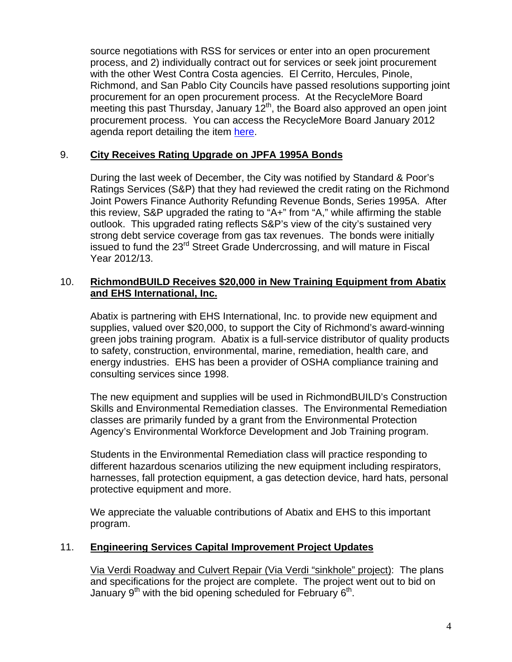source negotiations with RSS for services or enter into an open procurement process, and 2) individually contract out for services or seek joint procurement with the other West Contra Costa agencies. El Cerrito, Hercules, Pinole, Richmond, and San Pablo City Councils have passed resolutions supporting joint procurement for an open procurement process. At the RecycleMore Board meeting this past Thursday, January  $12<sup>th</sup>$ , the Board also approved an open joint procurement process. You can access the RecycleMore Board January 2012 agenda report detailing the item [here](http://www.recyclemore.com/content/board-meeting-agendas).

### 9. **City Receives Rating Upgrade on JPFA 1995A Bonds**

During the last week of December, the City was notified by Standard & Poor's Ratings Services (S&P) that they had reviewed the credit rating on the Richmond Joint Powers Finance Authority Refunding Revenue Bonds, Series 1995A. After this review, S&P upgraded the rating to "A+" from "A," while affirming the stable outlook. This upgraded rating reflects S&P's view of the city's sustained very strong debt service coverage from gas tax revenues. The bonds were initially issued to fund the 23<sup>rd</sup> Street Grade Undercrossing, and will mature in Fiscal Year 2012/13.

### 10. **RichmondBUILD Receives \$20,000 in New Training Equipment from Abatix and EHS International, Inc.**

Abatix is partnering with EHS International, Inc. to provide new equipment and supplies, valued over \$20,000, to support the City of Richmond's award-winning green jobs training program. Abatix is a full-service distributor of quality products to safety, construction, environmental, marine, remediation, health care, and energy industries. EHS has been a provider of OSHA compliance training and consulting services since 1998.

The new equipment and supplies will be used in RichmondBUILD's Construction Skills and Environmental Remediation classes. The Environmental Remediation classes are primarily funded by a grant from the Environmental Protection Agency's Environmental Workforce Development and Job Training program.

Students in the Environmental Remediation class will practice responding to different hazardous scenarios utilizing the new equipment including respirators, harnesses, fall protection equipment, a gas detection device, hard hats, personal protective equipment and more.

We appreciate the valuable contributions of Abatix and EHS to this important program.

## 11. **Engineering Services Capital Improvement Project Updates**

Via Verdi Roadway and Culvert Repair (Via Verdi "sinkhole" project): The plans and specifications for the project are complete. The project went out to bid on January  $9<sup>th</sup>$  with the bid opening scheduled for February  $6<sup>th</sup>$ .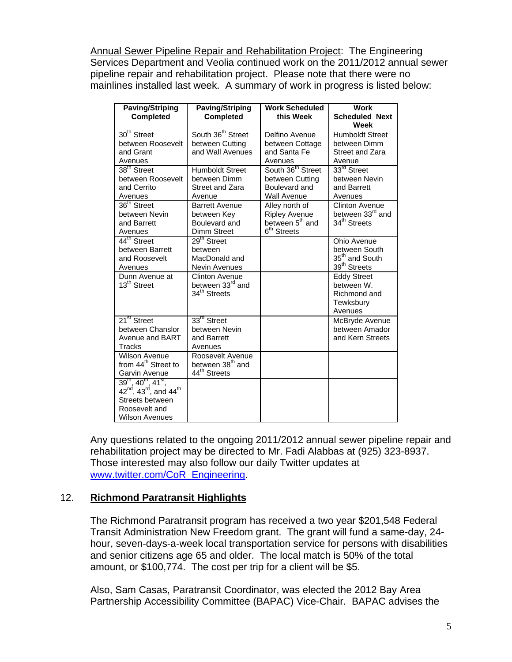Annual Sewer Pipeline Repair and Rehabilitation Project: The Engineering Services Department and Veolia continued work on the 2011/2012 annual sewer pipeline repair and rehabilitation project. Please note that there were no mainlines installed last week. A summary of work in progress is listed below:

| <b>Paving/Striping</b><br><b>Completed</b>                                                                                                                                          | <b>Paving/Striping</b><br><b>Completed</b>                                   | <b>Work Scheduled</b><br>this Week                                                               | <b>Work</b><br><b>Scheduled Next</b><br>Week                                           |
|-------------------------------------------------------------------------------------------------------------------------------------------------------------------------------------|------------------------------------------------------------------------------|--------------------------------------------------------------------------------------------------|----------------------------------------------------------------------------------------|
| 30 <sup>th</sup> Street<br>between Roosevelt<br>and Grant<br>Avenues                                                                                                                | South 36 <sup>th</sup> Street<br>between Cutting<br>and Wall Avenues         | Delfino Avenue<br>between Cottage<br>and Santa Fe<br>Avenues                                     | <b>Humboldt Street</b><br>between Dimm<br>Street and Zara<br>Avenue                    |
| 38 <sup>th</sup> Street<br>between Roosevelt<br>and Cerrito<br>Avenues                                                                                                              | <b>Humboldt Street</b><br>between Dimm<br>Street and Zara<br>Avenue          | South 36 <sup>th</sup> Street<br>between Cutting<br>Boulevard and<br><b>Wall Avenue</b>          | 33 <sup>rd</sup> Street<br>between Nevin<br>and Barrett<br>Avenues                     |
| 36 <sup>th</sup> Street<br>between Nevin<br>and Barrett<br>Avenues                                                                                                                  | <b>Barrett Avenue</b><br>between Key<br>Boulevard and<br><b>Dimm Street</b>  | Alley north of<br><b>Ripley Avenue</b><br>between 5 <sup>th</sup> and<br>6 <sup>th</sup> Streets | <b>Clinton Avenue</b><br>between 33rd and<br>34 <sup>th</sup> Streets                  |
| 44 <sup>th</sup> Street<br>between Barrett<br>and Roosevelt<br>Avenues                                                                                                              | 29 <sup>th</sup> Street<br>between<br>MacDonald and<br>Nevin Avenues         |                                                                                                  | Ohio Avenue<br>between South<br>35 <sup>th</sup> and South<br>39 <sup>th</sup> Streets |
| Dunn Avenue at<br>13 <sup>th</sup> Street                                                                                                                                           | Clinton Avenue<br>between 33 <sup>rd</sup> and<br>34 <sup>th</sup> Streets   |                                                                                                  | <b>Eddy Street</b><br>between W.<br>Richmond and<br>Tewksbury<br>Avenues               |
| $21st$ Street<br>between Chanslor<br>Avenue and BART<br>Tracks                                                                                                                      | 33 <sup>rd</sup> Street<br>between Nevin<br>and Barrett<br>Avenues           |                                                                                                  | McBryde Avenue<br>between Amador<br>and Kern Streets                                   |
| <b>Wilson Avenue</b><br>from 44 <sup>th</sup> Street to<br>Garvin Avenue                                                                                                            | Roosevelt Avenue<br>between 38 <sup>th</sup> and<br>44 <sup>th</sup> Streets |                                                                                                  |                                                                                        |
| $39^{\text{th}}$ , $40^{\text{th}}$ , $41^{\text{st}}$ ,<br>$42^{\text{nd}}$ , $43^{\text{rd}}$ , and $44^{\text{th}}$<br>Streets between<br>Roosevelt and<br><b>Wilson Avenues</b> |                                                                              |                                                                                                  |                                                                                        |

Any questions related to the ongoing 2011/2012 annual sewer pipeline repair and rehabilitation project may be directed to Mr. Fadi Alabbas at (925) 323-8937. Those interested may also follow our daily Twitter updates at [www.twitter.com/CoR\\_Engineering](http://www.twitter.com/CoR_Engineering).

#### 12. **Richmond Paratransit Highlights**

The Richmond Paratransit program has received a two year \$201,548 Federal Transit Administration New Freedom grant. The grant will fund a same-day, 24 hour, seven-days-a-week local transportation service for persons with disabilities and senior citizens age 65 and older. The local match is 50% of the total amount, or \$100,774. The cost per trip for a client will be \$5.

Also, Sam Casas, Paratransit Coordinator, was elected the 2012 Bay Area Partnership Accessibility Committee (BAPAC) Vice-Chair. BAPAC advises the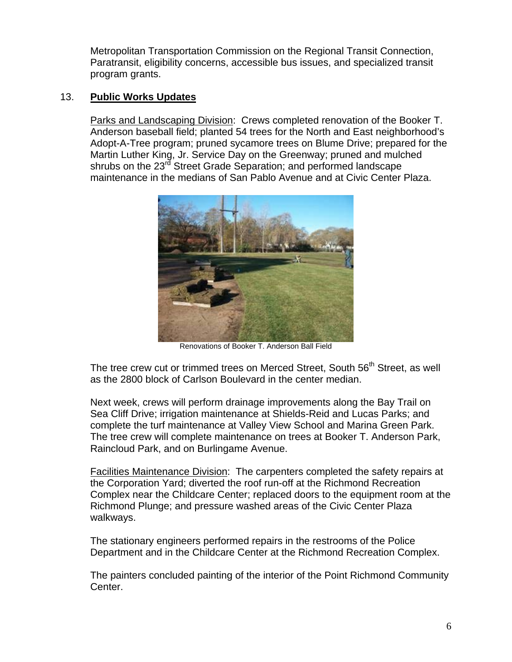Metropolitan Transportation Commission on the Regional Transit Connection, Paratransit, eligibility concerns, accessible bus issues, and specialized transit program grants.

## 13. **Public Works Updates**

Parks and Landscaping Division: Crews completed renovation of the Booker T. Anderson baseball field; planted 54 trees for the North and East neighborhood's Adopt-A-Tree program; pruned sycamore trees on Blume Drive; prepared for the Martin Luther King, Jr. Service Day on the Greenway; pruned and mulched shrubs on the 23<sup>rd</sup> Street Grade Separation; and performed landscape maintenance in the medians of San Pablo Avenue and at Civic Center Plaza.



Renovations of Booker T. Anderson Ball Field

The tree crew cut or trimmed trees on Merced Street, South 56<sup>th</sup> Street, as well as the 2800 block of Carlson Boulevard in the center median.

Next week, crews will perform drainage improvements along the Bay Trail on Sea Cliff Drive; irrigation maintenance at Shields-Reid and Lucas Parks; and complete the turf maintenance at Valley View School and Marina Green Park. The tree crew will complete maintenance on trees at Booker T. Anderson Park, Raincloud Park, and on Burlingame Avenue.

Facilities Maintenance Division: The carpenters completed the safety repairs at the Corporation Yard; diverted the roof run-off at the Richmond Recreation Complex near the Childcare Center; replaced doors to the equipment room at the Richmond Plunge; and pressure washed areas of the Civic Center Plaza walkways.

The stationary engineers performed repairs in the restrooms of the Police Department and in the Childcare Center at the Richmond Recreation Complex.

The painters concluded painting of the interior of the Point Richmond Community Center.